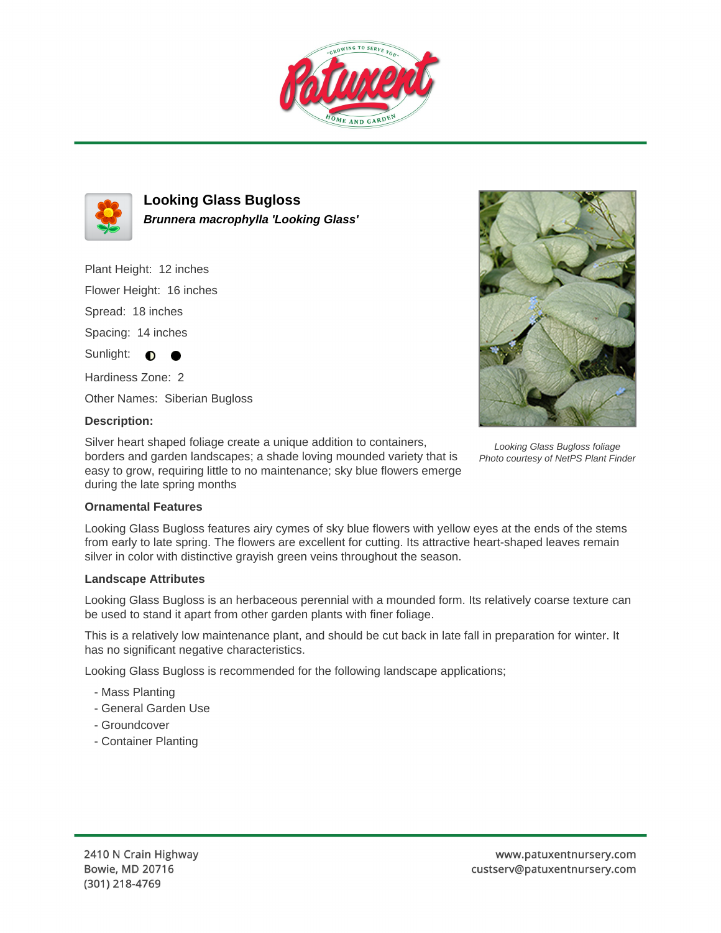



**Looking Glass Bugloss Brunnera macrophylla 'Looking Glass'**

Plant Height: 12 inches

Flower Height: 16 inches

Spread: 18 inches

Spacing: 14 inches

Sunlight:  $\bigcirc$ 

Hardiness Zone: 2

Other Names: Siberian Bugloss

## **Description:**

Silver heart shaped foliage create a unique addition to containers, borders and garden landscapes; a shade loving mounded variety that is easy to grow, requiring little to no maintenance; sky blue flowers emerge during the late spring months



Looking Glass Bugloss foliage Photo courtesy of NetPS Plant Finder

## **Ornamental Features**

Looking Glass Bugloss features airy cymes of sky blue flowers with yellow eyes at the ends of the stems from early to late spring. The flowers are excellent for cutting. Its attractive heart-shaped leaves remain silver in color with distinctive grayish green veins throughout the season.

## **Landscape Attributes**

Looking Glass Bugloss is an herbaceous perennial with a mounded form. Its relatively coarse texture can be used to stand it apart from other garden plants with finer foliage.

This is a relatively low maintenance plant, and should be cut back in late fall in preparation for winter. It has no significant negative characteristics.

Looking Glass Bugloss is recommended for the following landscape applications;

- Mass Planting
- General Garden Use
- Groundcover
- Container Planting